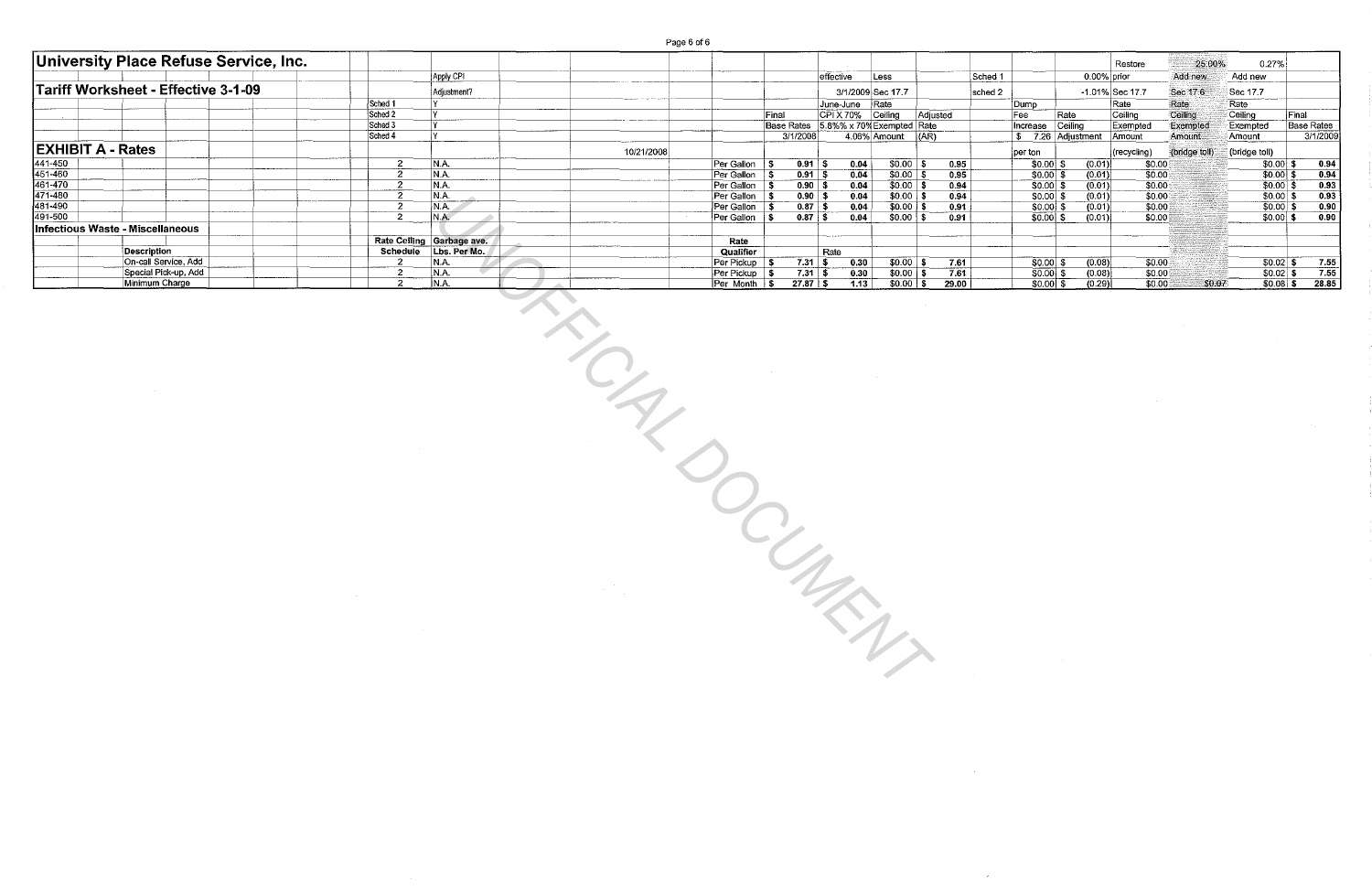Page 6 of 6

|                          | <b>University Place Refuse Service, Inc.</b> |                                                                                                                                |                           |                                                                                                                                                                                                                                                                                                                                                                                              |                                           |                                      |           |                           |                           |               |             |                           |                   | Restore          | 25.00%        |                                        | 0.27%                    |                                                                          |
|--------------------------|----------------------------------------------|--------------------------------------------------------------------------------------------------------------------------------|---------------------------|----------------------------------------------------------------------------------------------------------------------------------------------------------------------------------------------------------------------------------------------------------------------------------------------------------------------------------------------------------------------------------------------|-------------------------------------------|--------------------------------------|-----------|---------------------------|---------------------------|---------------|-------------|---------------------------|-------------------|------------------|---------------|----------------------------------------|--------------------------|--------------------------------------------------------------------------|
|                          |                                              |                                                                                                                                | Apply CPI                 |                                                                                                                                                                                                                                                                                                                                                                                              |                                           |                                      | effective | $ \text{Less}$            |                           |               | Sched 1     |                           |                   | 0.00% prior      | Add new       | Add new                                |                          |                                                                          |
|                          | Tariff Worksheet - Effective 3-1-09          |                                                                                                                                | Adjustment?               |                                                                                                                                                                                                                                                                                                                                                                                              |                                           |                                      |           | 3/1/2009 Sec 17.7         |                           |               | $ $ sched 2 |                           |                   | -1.01% Sec 17.7  | Sec 17.6      | Sec 17.7                               |                          |                                                                          |
|                          |                                              | Sched 1                                                                                                                        |                           |                                                                                                                                                                                                                                                                                                                                                                                              |                                           |                                      |           | June-June Rate            |                           |               |             | Dump                      |                   | Rate             | Rate          | Rate                                   |                          |                                                                          |
|                          |                                              | Sched 2                                                                                                                        |                           |                                                                                                                                                                                                                                                                                                                                                                                              |                                           | Final                                |           | CPI X 70% Ceiling         |                           | Adjusted      |             | Fee                       | Rate              | Ceiling          | Ceiling       | $\overline{\overline{\text{Ceiling}}}$ | Final                    |                                                                          |
|                          |                                              | Sched 3<br>Sched 4                                                                                                             |                           |                                                                                                                                                                                                                                                                                                                                                                                              |                                           | Base Rates 5.8%% x 70% Exempted Rate |           |                           |                           |               |             | Increase Ceiling          |                   | Exempted         | Exempted      | Exempted                               |                          | <b>Base Rates</b>                                                        |
|                          |                                              |                                                                                                                                |                           |                                                                                                                                                                                                                                                                                                                                                                                              |                                           | 3/1/2008                             |           | 4.06% Amount              | (AR)                      |               |             |                           | \$7.26 Adjustment | Amount           | Amount        | Amount                                 |                          | 3/1/2009                                                                 |
| <b>EXHIBIT A - Rates</b> |                                              |                                                                                                                                |                           | 10/21/2008                                                                                                                                                                                                                                                                                                                                                                                   |                                           |                                      |           |                           |                           |               |             | perton                    |                   | (recycling)      | (bridge toll) | (bridge toll)                          |                          |                                                                          |
| 441-450<br>451-460       |                                              | $\overline{2}$                                                                                                                 | N.A.                      |                                                                                                                                                                                                                                                                                                                                                                                              | Per Gallon   \$                           | $0.91$ \$                            |           | 0.04                      | $$0.00$ \ \$              | 0.95          |             | $$0.00$ \$                | (0.01)            | \$0.00           |               |                                        | $$0.00 $ \$              | 0.94                                                                     |
| 461-470                  |                                              | $\overline{2}$<br>$\overline{2}$                                                                                               | N.A.<br>N.A.              |                                                                                                                                                                                                                                                                                                                                                                                              | Per Gallon \$<br>Per Gallon $\frac{1}{5}$ | $0.91$ \$<br>$\boxed{0.90}$ \$       |           | 0.04<br>0.04              | $$0.00$ \$<br>$$0.00$ \$  | 0.95<br>0.94  |             | $$0.00$ \$<br>$$0.00$ \$  | (0.01)<br>(0.01)  | 30.00<br>50.00   |               |                                        | $$0.00$ \$<br>$$0.00$ \$ | 0.94<br>0.93                                                             |
| 471-480                  |                                              | $\overline{2}$                                                                                                                 | N.A.                      |                                                                                                                                                                                                                                                                                                                                                                                              | $Per Gallon$ \$                           | $0.90$ \$                            |           | 0.04                      | $$0.00$ \$                | 0.94          |             | $50.00$ \$                | (0.01)            | \$0.00           |               |                                        | $$0.00$ \$               | 0.93                                                                     |
| 481-490                  |                                              | $\overline{2}$                                                                                                                 | N.A.                      |                                                                                                                                                                                                                                                                                                                                                                                              | Per Gallon \$                             | $0.87$ \$                            |           | 0.04                      | $$0.00$ \$                | 0.91          |             | $$0.00]$ \$               | (0.01)            | 50.00            |               |                                        | $$0.00]$ \$              | 0.90                                                                     |
| 491-500                  |                                              | $2^{\circ}$                                                                                                                    | N.A.                      |                                                                                                                                                                                                                                                                                                                                                                                              | Per Gallon \$                             | $0.87$ \$                            |           | 0.04                      | $$0.00$ \$                | 0.91          |             | $$0.00]$ \$               | (0.01)            | \$0.00           |               |                                        | $$0.00$ \$               | 0.90                                                                     |
|                          | Infectious Waste - Miscellaneous             |                                                                                                                                |                           |                                                                                                                                                                                                                                                                                                                                                                                              |                                           |                                      |           |                           |                           |               |             |                           |                   |                  |               |                                        |                          |                                                                          |
|                          |                                              |                                                                                                                                | Rate Ceiling Garbage ave. |                                                                                                                                                                                                                                                                                                                                                                                              | Rate                                      |                                      |           |                           |                           |               |             |                           |                   |                  |               |                                        |                          |                                                                          |
|                          | <b>Description</b>                           |                                                                                                                                | Schedule Lbs. Per Mo.     |                                                                                                                                                                                                                                                                                                                                                                                              | Qualifier                                 |                                      | Rate      |                           |                           |               |             |                           |                   |                  |               |                                        |                          |                                                                          |
|                          | On-call Service, Add<br>Special Pick-up, Add | $\overline{2}$<br>$\overline{2}$                                                                                               | N.A.<br>N.A               |                                                                                                                                                                                                                                                                                                                                                                                              | Per Pickup \$                             | $7.31$ \$<br>731S                    |           | 0.30                      | $$0.00$ \$                | 7.61          |             | $\sqrt{50.00}$ \$         | (0.08)            | \$0.00           |               |                                        |                          | $\frac{$0.02 \text{ } $6$ \cdot $0.02$}{0.02 \text{ } $6$ \cdot $7.55$}$ |
|                          | Minimum Charge                               | $2^{\circ}$                                                                                                                    | N.A                       |                                                                                                                                                                                                                                                                                                                                                                                              | $Per Pickup$ \$<br>Per Month \$           | 27.87 \$                             |           | 0.30<br>$\overline{1.13}$ | $$0.00$ \$<br>$$0.00$ \\$ | 7.61<br>29.00 |             | $$0.00]$ \$<br>$$0.00$ \$ | (0.08)<br>(0.29)  | \$0.00<br>\$0.00 | \$0.07        |                                        |                          | $$0.08$ \$ 28.85                                                         |
|                          |                                              | $\mathcal{L}(\mathcal{L})$ , and $\mathcal{L}(\mathcal{L})$ , and<br>$\mathcal{L}(\mathcal{L})$ and $\mathcal{L}(\mathcal{L})$ |                           | $\frac{1}{\sqrt{2}}$<br>$\mathcal{A}=\frac{1}{2} \sum_{i=1}^{2} \frac{1}{2} \sum_{j=1}^{2} \frac{1}{2} \sum_{j=1}^{2} \frac{1}{2} \sum_{j=1}^{2} \frac{1}{2} \sum_{j=1}^{2} \frac{1}{2} \sum_{j=1}^{2} \frac{1}{2} \sum_{j=1}^{2} \frac{1}{2} \sum_{j=1}^{2} \frac{1}{2} \sum_{j=1}^{2} \frac{1}{2} \sum_{j=1}^{2} \frac{1}{2} \sum_{j=1}^{2} \frac{1}{2} \sum_{j=1}^{2} \frac{1}{2} \sum_{$ |                                           | $\mathsf{C}_{\mathsf{Z}}$            |           |                           |                           |               |             |                           |                   |                  |               |                                        |                          |                                                                          |

 $\sim$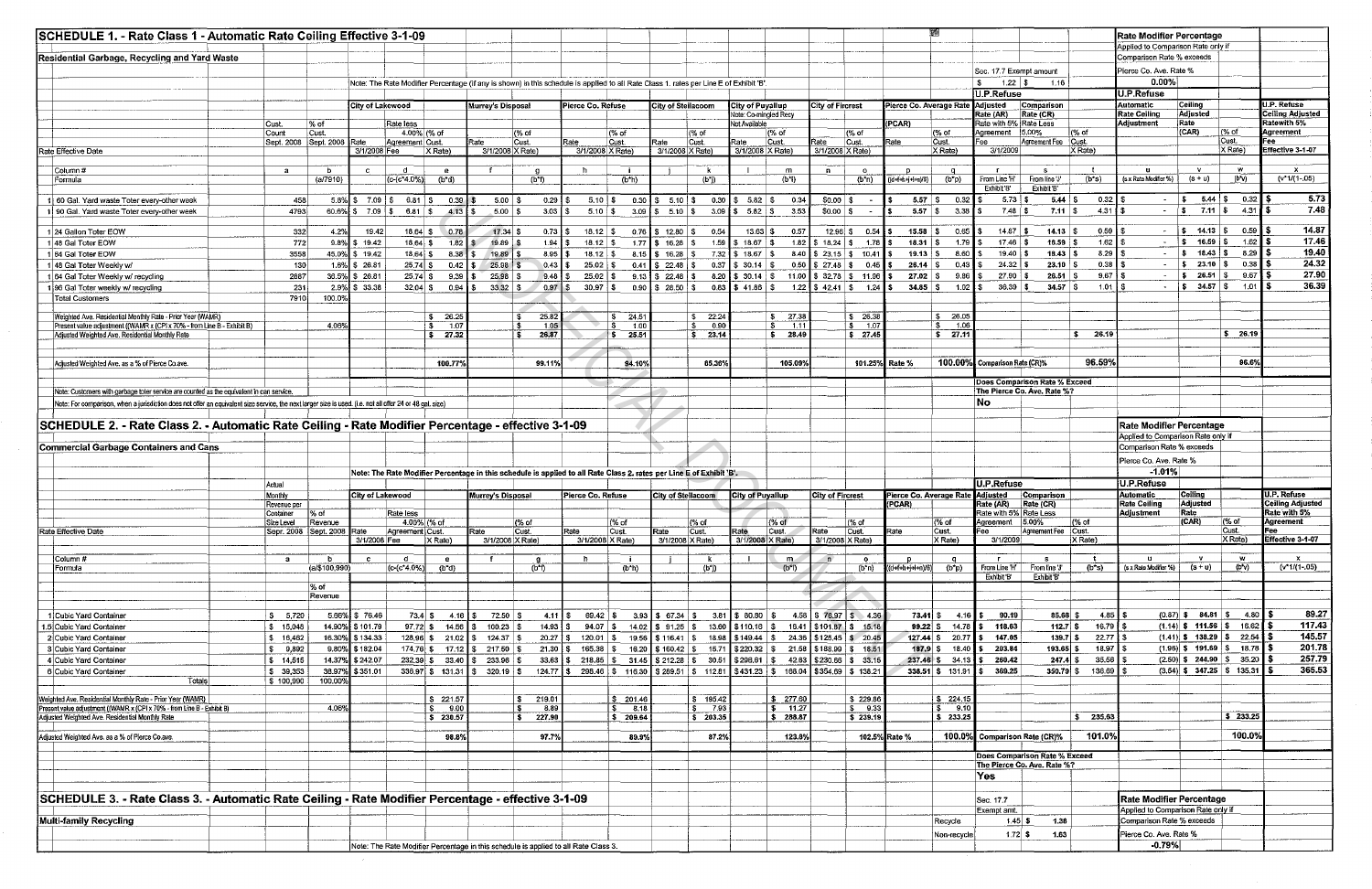| SCHEDULE 1. - Rate Class 1 - Automatic Rate Ceiling Effective 3-1-09<br>Residential Garbage, Recycling and Yard Waste                                                                                                                                                                                                                                                                                                                                                                                                                                                                   |                        |                            |                         |                             |                         |                                  |                       |                                                                                                                                        |                     |                                                  |                      |                                                              |                                                          |                          |                                                                    |                                   |                          |                                                    |                                                                     |                       | Applied to Comparison Rate only if<br>Comparison Rate % exceeds | Rate Modifier Percentage                |                       |                                                                                                                                                                        |
|-----------------------------------------------------------------------------------------------------------------------------------------------------------------------------------------------------------------------------------------------------------------------------------------------------------------------------------------------------------------------------------------------------------------------------------------------------------------------------------------------------------------------------------------------------------------------------------------|------------------------|----------------------------|-------------------------|-----------------------------|-------------------------|----------------------------------|-----------------------|----------------------------------------------------------------------------------------------------------------------------------------|---------------------|--------------------------------------------------|----------------------|--------------------------------------------------------------|----------------------------------------------------------|--------------------------|--------------------------------------------------------------------|-----------------------------------|--------------------------|----------------------------------------------------|---------------------------------------------------------------------|-----------------------|-----------------------------------------------------------------|-----------------------------------------|-----------------------|------------------------------------------------------------------------------------------------------------------------------------------------------------------------|
|                                                                                                                                                                                                                                                                                                                                                                                                                                                                                                                                                                                         |                        |                            |                         |                             |                         |                                  |                       | Note: The Rate Modifier Percentage (if any is shown) in this schedule is applied to all Rate Class 1, rates per Line E of Exhibit 'B'. |                     |                                                  |                      |                                                              |                                                          |                          |                                                                    |                                   |                          | Sec. 17.7 Exempt amount<br>$1.22$ \$<br>U.P.Refuse | 1.16                                                                |                       | Pierce Co. Ave. Rate %<br>$0.00\%$<br>U.P.Refuse                |                                         |                       |                                                                                                                                                                        |
|                                                                                                                                                                                                                                                                                                                                                                                                                                                                                                                                                                                         |                        |                            | City of Lakewood        |                             |                         | Murrey's Disposal                |                       | Pierce Co. Refuse                                                                                                                      |                     | <b>City of Stellacoom</b>                        |                      | City of Puyallup                                             |                                                          | <b>City of Fircrest</b>  |                                                                    | Pierce Co. Average Rate           |                          | Adjusted                                           | Comparison                                                          |                       | Automatic                                                       | Ceiling                                 |                       | U.P. Refuse                                                                                                                                                            |
|                                                                                                                                                                                                                                                                                                                                                                                                                                                                                                                                                                                         |                        |                            |                         | Rate less                   |                         |                                  |                       |                                                                                                                                        |                     |                                                  |                      | Note: Co-mingled Recy                                        |                                                          |                          |                                                                    | (PCAR)                            |                          | Rate (AR)                                          | Rate (CR)                                                           |                       | <b>Rate Ceiling</b><br><b>Adjustment</b>                        | Adjusted<br>Rate                        |                       | <b>Ceiling Adjusted</b><br><b>Ratewith 5%</b>                                                                                                                          |
|                                                                                                                                                                                                                                                                                                                                                                                                                                                                                                                                                                                         | Cust.<br>Count         | $%$ of<br>Cust.            |                         | 4.00% (% of                 |                         |                                  | (% of                 |                                                                                                                                        | $\sqrt{6}$ of       |                                                  | (% of                | Not Available                                                | l(% of                                                   |                          | (% of                                                              |                                   | (% of                    | Rate with 5% Rate Less<br>Aareement                | 15.00%                                                              | (% of                 |                                                                 | CAR)                                    | $(\%$ of              | Agreement                                                                                                                                                              |
|                                                                                                                                                                                                                                                                                                                                                                                                                                                                                                                                                                                         |                        | Sept. 2008 Sept. 2008      | Rate                    | Agreement Cust.             |                         | $\overline{\mathsf{Rate}}$       | Cust.                 | रate                                                                                                                                   | Cust.               | Rate                                             | Cust.                | Rate                                                         | Cust.                                                    | Rate                     | Cust.                                                              | Rate                              | Cust.<br>X Rate)         | Fee<br>3/1/2009                                    | Agreement Fee Cust.                                                 | $X$ Rate)             |                                                                 |                                         | Cust.<br>X Rate)      | Fee<br>Effective 3-1-07                                                                                                                                                |
| Rate Effective Date                                                                                                                                                                                                                                                                                                                                                                                                                                                                                                                                                                     |                        |                            | 3/1/2008 Fee            |                             | $ X$ Rate)              | 3/1/2008 X Rate)                 |                       | 3/1/2008 X Rate)                                                                                                                       |                     | 3/1/2008 X Rate)                                 |                      | 3/1/2008 X Rate)                                             |                                                          | 3/1/2008 X Rate)         |                                                                    |                                   |                          |                                                    |                                                                     |                       |                                                                 |                                         |                       |                                                                                                                                                                        |
| Column#                                                                                                                                                                                                                                                                                                                                                                                                                                                                                                                                                                                 | a.                     | b                          | $\mathbf{c}$            | - d                         | e                       |                                  | <b>O</b>              |                                                                                                                                        |                     |                                                  | -k                   |                                                              | m                                                        | $\mathbf{D}$             | $\bullet$                                                          |                                   | $\mathbf{q}$             | in the                                             | S.                                                                  | $\mathbf{t}$          | л.                                                              | - v -                                   | w                     | $\mathbf{x}$                                                                                                                                                           |
| Formula                                                                                                                                                                                                                                                                                                                                                                                                                                                                                                                                                                                 |                        | (a/7910)                   |                         | $(c-(c*4.0%)$               | $(b^*d)$                |                                  | (b*f)                 |                                                                                                                                        | (b*h)               |                                                  | (b*j)                |                                                              | $(b*)$                                                   |                          | $(b*n)$                                                            | $((d+H+i+H)/6)$                   | $(b*p)$                  | From Line 'H'<br>Exhibit 'B'                       | From line 'J'<br>Exhibit 'B'                                        | $(b*s)$               | (s x Rate Modifier %)                                           | $(s+u)$                                 | $(b^*v)$              | $(v*1/(1-.05))$                                                                                                                                                        |
| 1 60 Gal. Yard waste Toter every-other week                                                                                                                                                                                                                                                                                                                                                                                                                                                                                                                                             | 458                    |                            |                         | 5.8%   \$7.09   \$6.81   \$ | 0.39                    | $5.00$ $\frac{1}{3}$             | $0.29$ $\frac{1}{3}$  | $5.10$ \$                                                                                                                              |                     | $0.30$ $\frac{1}{5}$ 5.10 $\frac{1}{3}$          | $0.30$ $\frac{1}{3}$ | $5.82$ \$                                                    | 0.34                                                     | $$0.00$ \\$              |                                                                    | 5.57                              | 0.32                     | $5.73$ $\sqrt{5}$                                  | $5.44$ \ \$                                                         | $0.32$ \$             |                                                                 | $ \frac{1}{5}$ 5.44 \$                  | $0.32$ \$             | $-5.73$                                                                                                                                                                |
| 1 90 Gal. Yard waste Toter every-other week                                                                                                                                                                                                                                                                                                                                                                                                                                                                                                                                             | 4793                   | 60.6%                      | $\frac{1}{3}$ 7.09 \$   | 6.81 \$                     | 4.13                    | $5.00$ $\vert$ \$                | 3.03                  | $5.10$ $\sqrt{3}$                                                                                                                      | 3.09                |                                                  |                      | $3.09$ $\frac{5.82}{5}$                                      | 3.53                                                     | \$0.00 \$                |                                                                    | 5.57                              | 3,38<br>`\$∖             | 7.48 \$                                            | 7.11 \$                                                             | $4.31$ $\sqrt{5}$     |                                                                 | $ \frac{1}{3}$ 7.11 $\frac{1}{3}$       | 4.31 6                | 7.48                                                                                                                                                                   |
|                                                                                                                                                                                                                                                                                                                                                                                                                                                                                                                                                                                         |                        |                            |                         |                             |                         |                                  |                       |                                                                                                                                        |                     |                                                  |                      |                                                              |                                                          |                          |                                                                    |                                   |                          |                                                    |                                                                     |                       |                                                                 |                                         |                       |                                                                                                                                                                        |
| 1 24 Gallon Toter EOW<br>148 Gal Toter EOW                                                                                                                                                                                                                                                                                                                                                                                                                                                                                                                                              | 332                    | 4.2%                       | 19.42<br>\$19.42        | $18.64$ \$                  | $18.64$ \$ 0.78<br>1.82 | $17.34$ \$<br>$19.89$ :          | $0.73$ $\frac{1}{5}$  | $18.12$ \ \$                                                                                                                           | 1.77                | $0.76$ \$ 12.80 \$<br>$\frac{1}{3}$ 16.28 \ \ \$ | 0.54                 | $13.63$ \ \ \$<br>$1.59$ $\frac{1}{9}$ $18.67$ $\frac{1}{9}$ | 0.57                                                     |                          | 12.96 \$ 0.54<br>1.82 S 18.24 S 1.78                               | 15.58<br>18.31                    | 0.65<br>$1.79$ S         | $14.87$ \ \$<br>$17.46$ S                          | $14.13$ \$<br>$16.59$ \$                                            | 0.59<br>1.62          | $\sim$<br>$\sim$ $-$                                            | $$ 14.13 \, \text{\AA}$<br>$S$ 16.59 \$ | 0.59 Ï \$<br>$1.62$ S | 14.87<br>17.46                                                                                                                                                         |
| 164 Gal Toter EOW                                                                                                                                                                                                                                                                                                                                                                                                                                                                                                                                                                       | 772<br>3558            | 9.8%                       | 45.0% \$19.42           | $18,64$ \$                  | 8.38                    | $19.89$ \ \$                     | 8.95 S                | $18.12$ \ \$                                                                                                                           |                     | $8.15$ \$ 16.28 \$                               |                      | $7.32$ \$ 18.67 \\$                                          |                                                          |                          | $8.40$ \$ 23.15 \$ 10.41                                           | $19.13$   \$                      | 8.60                     | $19.40$ \ \$                                       | $18.43$ \ \$                                                        | 8,29                  |                                                                 | $-$ \$ 18.43 \$                         | $8.29$ \$             | 19.40                                                                                                                                                                  |
| 1 48 Gal Toter Weekly w/                                                                                                                                                                                                                                                                                                                                                                                                                                                                                                                                                                | 130                    |                            | 1.6% 3 26.81            | $25.74$ S                   | 0.42                    | $25.98$ \$                       | $0.43$ \$             | $25.02$ \ \$                                                                                                                           | 0.41                | $\frac{1}{2}$ 22.48 \$                           |                      | $0.37$ \$ 30.14 \$                                           |                                                          |                          | $0.50$ $\begin{bmatrix} 5 & 27.48 & 5 & 0.45 \end{bmatrix}$        | 26.14                             | 0.43                     | $24.32$ \ \$                                       | $23.10$ \$                                                          | 0.38                  | $\sim$ $-$                                                      | $\frac{1}{5}$ 23.10 $\frac{1}{5}$       | $0.38$ $\frac{1}{3}$  | 24.32                                                                                                                                                                  |
| 1 64 Gal Toter Weekly w/ recycling                                                                                                                                                                                                                                                                                                                                                                                                                                                                                                                                                      | 2387                   |                            | 36.5% \$26.81           | $25.74$ \$                  | 9.39                    | $25.98$ \ \$                     | $9.48$ $\sqrt{5}$     | $25.02$   \$                                                                                                                           |                     | $9.13$ $$22.48$ $$$                              |                      |                                                              | 8.20 \$ 30.14 \$ 11.00 \$ 32.78 \$ 11.96                 |                          |                                                                    | $27.02$ \ \$                      | $9.86$ 1 \$              | $27.90$ \$                                         | $26.51$ \$                                                          | 9,67                  | $\sim 100$                                                      | $\frac{1}{2}$ 26.51 \$                  | $9.67$ is             | 27.90                                                                                                                                                                  |
| 196 Gal Toter weekly w/ recycling                                                                                                                                                                                                                                                                                                                                                                                                                                                                                                                                                       | 231                    |                            | 2.9% \$33.38            | $32.04$ \$                  | 0.94                    | $33.32$ \$                       | 0.97                  |                                                                                                                                        |                     | $0.90$ \$ 28.50 \$                               |                      | $0.83$ \$ 41.86 \$                                           |                                                          |                          | $1.22$ \$ 42.41 \$ 1.24                                            | $34.85$ \ \$                      | $1.02$ S                 | $36,39$ \$                                         | $34.57$ \$                                                          | 1.01                  | $\sim$                                                          | $\frac{1}{5}$ 34.57 \$                  | 1.01 <b>S</b>         | 36.39                                                                                                                                                                  |
| <b>Total Customers</b>                                                                                                                                                                                                                                                                                                                                                                                                                                                                                                                                                                  | 7910                   | 100.0%                     |                         |                             |                         |                                  |                       |                                                                                                                                        |                     |                                                  |                      |                                                              |                                                          |                          |                                                                    |                                   |                          |                                                    |                                                                     |                       |                                                                 |                                         |                       |                                                                                                                                                                        |
| Weighted Ave, Residential Monthly Rate - Prior Year (WAMR)                                                                                                                                                                                                                                                                                                                                                                                                                                                                                                                              |                        |                            |                         |                             | \$26.25                 |                                  | 25.82                 |                                                                                                                                        | $\frac{1}{5}$ 24.51 |                                                  | \$22.24              |                                                              | \$27.38                                                  |                          | \$26.38                                                            |                                   | 26.05                    |                                                    |                                                                     |                       |                                                                 |                                         |                       |                                                                                                                                                                        |
| Present value adjustment ((WAMR x (CPI x 70% - from Line B - Exhibit B)                                                                                                                                                                                                                                                                                                                                                                                                                                                                                                                 |                        | 4.06%                      |                         |                             | 1.07<br>- 5             |                                  | 1.05                  |                                                                                                                                        | S<br>$-1.00$        |                                                  | $\sqrt{s}$<br>0.90   |                                                              | $\overline{\mathbf{s}}$<br>$-1.11$                       |                          | $\frac{1}{3}$ 1.07                                                 |                                   | 1.06                     |                                                    |                                                                     |                       |                                                                 |                                         |                       |                                                                                                                                                                        |
| Adjusted Weighted Ave. Residential Monthly Rate                                                                                                                                                                                                                                                                                                                                                                                                                                                                                                                                         |                        |                            |                         |                             | \$27.32                 |                                  | 26.87                 |                                                                                                                                        | $\frac{1}{5}$ 25.51 |                                                  | $5 \t 23.14$         |                                                              | \$28.49                                                  |                          | \$27.45                                                            |                                   | \$27.11                  |                                                    |                                                                     | 26.19                 |                                                                 |                                         | \$26.19               |                                                                                                                                                                        |
|                                                                                                                                                                                                                                                                                                                                                                                                                                                                                                                                                                                         |                        |                            |                         |                             |                         |                                  |                       |                                                                                                                                        |                     |                                                  |                      |                                                              |                                                          |                          |                                                                    |                                   |                          |                                                    |                                                                     |                       |                                                                 |                                         |                       |                                                                                                                                                                        |
| Adjusted Weighted Ave. as a % of Pierce Co.ave.                                                                                                                                                                                                                                                                                                                                                                                                                                                                                                                                         |                        |                            |                         |                             | 100.77%                 |                                  | 99.11%                |                                                                                                                                        | 94.10%              |                                                  | 85.36%               |                                                              | 105.09%                                                  |                          | 101.25% Rate %                                                     |                                   | 100.00%                  | Comparison Rate (CR)%                              |                                                                     | 96.59%                |                                                                 |                                         | 96.6%                 |                                                                                                                                                                        |
|                                                                                                                                                                                                                                                                                                                                                                                                                                                                                                                                                                                         |                        |                            |                         |                             |                         |                                  |                       |                                                                                                                                        |                     |                                                  |                      |                                                              |                                                          |                          |                                                                    |                                   |                          |                                                    | <b>Does Comparison Rate % Exceed</b>                                |                       |                                                                 |                                         |                       |                                                                                                                                                                        |
| Note: Customers with garbage toter service are counted as the equivalent in can service.                                                                                                                                                                                                                                                                                                                                                                                                                                                                                                |                        |                            |                         |                             |                         |                                  |                       |                                                                                                                                        |                     |                                                  |                      |                                                              |                                                          |                          |                                                                    |                                   |                          |                                                    | The Pierce Co. Ave. Rate %?                                         |                       |                                                                 |                                         |                       |                                                                                                                                                                        |
| Note: For comparison, when a jurisdiction does not offer an equivalent size service, the next larger size is used. (i.e. not all offer 24 or 48 gal. size)                                                                                                                                                                                                                                                                                                                                                                                                                              |                        |                            |                         |                             |                         |                                  |                       |                                                                                                                                        |                     |                                                  |                      |                                                              |                                                          |                          |                                                                    |                                   |                          | No                                                 |                                                                     |                       |                                                                 |                                         |                       |                                                                                                                                                                        |
|                                                                                                                                                                                                                                                                                                                                                                                                                                                                                                                                                                                         |                        |                            |                         |                             |                         |                                  |                       |                                                                                                                                        |                     |                                                  |                      |                                                              |                                                          |                          |                                                                    |                                   |                          |                                                    |                                                                     |                       |                                                                 |                                         |                       |                                                                                                                                                                        |
| SCHEDULE 2. - Rate Class 2. - Automatic Rate Ceiling - Rate Modifier Percentage - effective 3-1-09                                                                                                                                                                                                                                                                                                                                                                                                                                                                                      |                        |                            |                         |                             |                         |                                  |                       |                                                                                                                                        |                     |                                                  |                      |                                                              |                                                          |                          |                                                                    |                                   |                          |                                                    |                                                                     |                       |                                                                 |                                         |                       |                                                                                                                                                                        |
|                                                                                                                                                                                                                                                                                                                                                                                                                                                                                                                                                                                         |                        |                            |                         |                             |                         |                                  |                       |                                                                                                                                        |                     |                                                  |                      |                                                              |                                                          |                          |                                                                    |                                   |                          |                                                    |                                                                     |                       | Rate Modifier Percentage                                        |                                         |                       |                                                                                                                                                                        |
|                                                                                                                                                                                                                                                                                                                                                                                                                                                                                                                                                                                         |                        |                            |                         |                             |                         |                                  |                       |                                                                                                                                        |                     |                                                  |                      |                                                              |                                                          |                          |                                                                    |                                   |                          |                                                    |                                                                     |                       | Applied to Comparison Rate only if                              |                                         |                       |                                                                                                                                                                        |
|                                                                                                                                                                                                                                                                                                                                                                                                                                                                                                                                                                                         |                        |                            |                         |                             |                         |                                  |                       |                                                                                                                                        |                     |                                                  |                      |                                                              |                                                          |                          |                                                                    |                                   |                          |                                                    |                                                                     |                       | Comparison Rate % exceeds                                       |                                         |                       |                                                                                                                                                                        |
|                                                                                                                                                                                                                                                                                                                                                                                                                                                                                                                                                                                         |                        |                            |                         |                             |                         |                                  |                       |                                                                                                                                        |                     |                                                  |                      |                                                              |                                                          |                          |                                                                    |                                   |                          |                                                    |                                                                     |                       | Pierce Co. Ave. Rate %                                          |                                         |                       |                                                                                                                                                                        |
|                                                                                                                                                                                                                                                                                                                                                                                                                                                                                                                                                                                         |                        |                            |                         |                             |                         |                                  |                       | Note: The Rate Modifier Percentage in this schedule is applied to all Rate Class 2. rates per Line E of Exhibit 'B'.                   |                     |                                                  |                      |                                                              |                                                          |                          |                                                                    |                                   |                          |                                                    |                                                                     |                       | $-1.01%$                                                        |                                         |                       |                                                                                                                                                                        |
|                                                                                                                                                                                                                                                                                                                                                                                                                                                                                                                                                                                         | Actual                 |                            |                         |                             |                         |                                  |                       |                                                                                                                                        |                     |                                                  |                      |                                                              |                                                          |                          |                                                                    |                                   |                          | <b>U.P.Refuse</b>                                  |                                                                     |                       | <b>U.P.Refuse</b>                                               |                                         |                       |                                                                                                                                                                        |
|                                                                                                                                                                                                                                                                                                                                                                                                                                                                                                                                                                                         | Monthly<br>Revenue per |                            | City of Lakewood        |                             |                         | Murrey's Disposal                |                       | Pierce Co. Refuse                                                                                                                      |                     | City of Steilacoom                               |                      | <b>City of Puyallup</b>                                      |                                                          | <b>City of Fircrest</b>  |                                                                    | Pierce Co. Average Rate<br>(PCAR) |                          | Adjusted<br>Rate (AR) Rate (CR)                    | Comparison                                                          |                       | <b>Automatic</b><br><b>Rate Ceiling</b>                         | Ceiling<br><b>Adjusted</b>              |                       |                                                                                                                                                                        |
|                                                                                                                                                                                                                                                                                                                                                                                                                                                                                                                                                                                         | Container              | 6 OT                       |                         | Rate less                   |                         |                                  |                       |                                                                                                                                        |                     |                                                  |                      |                                                              |                                                          |                          |                                                                    |                                   |                          | Rate with 5% Rate Less                             |                                                                     |                       | Adjustment                                                      | Rate                                    |                       |                                                                                                                                                                        |
|                                                                                                                                                                                                                                                                                                                                                                                                                                                                                                                                                                                         | Size Level             | Revenue                    |                         | 4.00% (% of                 |                         |                                  | $(\% \text{ of }$     |                                                                                                                                        | l (% of             |                                                  | l (% of              |                                                              | l (% of                                                  |                          | l(% of                                                             |                                   | (% of                    | Agreement  5.00%                                   |                                                                     | $ (%$ of              |                                                                 | (CAR)                                   | (% of                 | Agreement                                                                                                                                                              |
|                                                                                                                                                                                                                                                                                                                                                                                                                                                                                                                                                                                         |                        | Sepr. 2008 Sept. 2008 Rate | 3/1/2008 Fee            | Agreement Cust.             | X Rate)                 | Rate<br>3/1/2008   X Rate)       | Cust.                 | Rate<br>3/1/2008 X Rate)                                                                                                               | $ $ Cust.           | Rate<br>3/1/2008 X Rate)                         | Cust.                | Rate<br>3/1/2008 X Rate)                                     | Cust.                                                    | Rate<br>3/1/2008 X Rate) | Cust                                                               | Rate                              | Cust.<br>X Rate)         | <b>Fee</b><br>3/1/2009                             | Agreement Fee Cust.                                                 | X Rate)               |                                                                 |                                         | Cust.<br>$X$ Rate)    |                                                                                                                                                                        |
|                                                                                                                                                                                                                                                                                                                                                                                                                                                                                                                                                                                         |                        |                            |                         |                             |                         |                                  |                       |                                                                                                                                        |                     |                                                  |                      |                                                              |                                                          |                          |                                                                    |                                   |                          |                                                    |                                                                     |                       |                                                                 |                                         |                       |                                                                                                                                                                        |
| Column#                                                                                                                                                                                                                                                                                                                                                                                                                                                                                                                                                                                 | a                      | b                          | $\mathbf{c}$            | d.                          | e.                      |                                  | a.                    | h                                                                                                                                      |                     |                                                  | - k                  |                                                              | m                                                        | n                        | $\bullet$                                                          |                                   | <b>q</b>                 | $\mathsf{r}$                                       | -S                                                                  |                       | п.                                                              | <b>Mark</b>                             | w                     | $\mathbf{x}$                                                                                                                                                           |
| Formula                                                                                                                                                                                                                                                                                                                                                                                                                                                                                                                                                                                 |                        | (a/\$100.990               |                         | $(c-(c*4.0%)$               | $(b^*d)$                |                                  | (b <sub>1</sub> )     |                                                                                                                                        | $(b^*h)$            |                                                  | (b*j)                |                                                              | $(b*)$                                                   |                          | (h*n)                                                              | $[(d+1+i+1+i)]$                   | $(b^*b)$                 | From Line 'H'<br>Exhibit B'                        | From line J'<br>Exhibit 'B'                                         | $(b^*s)$              | (s x Rate Modifier %)                                           | $(s-u)$                                 | (b v)                 |                                                                                                                                                                        |
|                                                                                                                                                                                                                                                                                                                                                                                                                                                                                                                                                                                         |                        | % of                       |                         |                             |                         |                                  |                       |                                                                                                                                        |                     |                                                  |                      |                                                              |                                                          |                          |                                                                    |                                   |                          |                                                    |                                                                     |                       |                                                                 |                                         |                       |                                                                                                                                                                        |
|                                                                                                                                                                                                                                                                                                                                                                                                                                                                                                                                                                                         |                        | Revenue                    |                         |                             |                         |                                  |                       |                                                                                                                                        |                     |                                                  |                      |                                                              |                                                          |                          |                                                                    |                                   |                          |                                                    |                                                                     |                       |                                                                 |                                         |                       |                                                                                                                                                                        |
|                                                                                                                                                                                                                                                                                                                                                                                                                                                                                                                                                                                         | \$5,720                |                            | 5.66% \$76.46           |                             | $73.4$ \$ 4.16 \ \$     | 72.50 $\vert$ \$                 | 4.11   \$             | $69.42$ \$                                                                                                                             |                     | $3.93$ \$67.34 \$                                |                      | $3.81$ \$ 80.80 \$                                           |                                                          |                          | $4.58$ $\begin{array}{ c c c c c } \hline 4.56 \hline \end{array}$ |                                   | $73.41 \quad $3.416$     | 90.19                                              | 85.68                                                               | $4.85$ \ \$           |                                                                 | $(0.87)$ \$ 84.81 \$ 4.80               |                       |                                                                                                                                                                        |
| 1 Cubic Yard Container                                                                                                                                                                                                                                                                                                                                                                                                                                                                                                                                                                  | \$15,048               |                            | 14.90% \$101.79         |                             |                         | $97.72$ \$ 14.56 \$ 100.23 \$    | $14.93$ $\frac{1}{3}$ | 94.07 $\frac{1}{3}$                                                                                                                    |                     |                                                  |                      | $14.02$ \$ 91.25 \$ 13.60 \$110.16 \$                        |                                                          |                          | 16.41 \$101.87 \$ 15.18                                            |                                   | $99.22$ \$ 14.78         | 118.63                                             | $112.7$ \$                                                          | $16.79$ $\frac{1}{3}$ |                                                                 | $(1.14)$ \$ 111.56 \$ 16.62             |                       |                                                                                                                                                                        |
|                                                                                                                                                                                                                                                                                                                                                                                                                                                                                                                                                                                         | \$16,462               |                            | 16.30% \$134.33         |                             |                         | $128.96$ \$ 21.02 \$ 124.37 \$   |                       | 20.27 S 120.01 S                                                                                                                       |                     |                                                  |                      |                                                              | 19.56 \$116.41 \$18.98 \$149.44 \$24.36 \$125.45 \$20.45 |                          |                                                                    |                                   | $127.44 \quad $20.77$ \$ | 147.05                                             | $139.7$ \$                                                          | $22.77$ \$            |                                                                 | $(1.41)$ \$ 138.29 \$ 22.54 \$          |                       |                                                                                                                                                                        |
|                                                                                                                                                                                                                                                                                                                                                                                                                                                                                                                                                                                         | \$9,892                |                            | 9.80% \$182.04          |                             |                         | $174.76$ \$ $17.12$ \$ 217.50 \$ |                       | 21.30 \$ 165.38 \$ 16.20 \$ 160.42 \$ 15.71 \$ 220.32 \$ 21.58 \$ 188.99 \$ 18.51                                                      |                     |                                                  |                      |                                                              |                                                          |                          |                                                                    |                                   | $187.9$ \$ 18.40         | 203.84                                             | 193.65                                                              | $18.97$ \$            |                                                                 | $(1.96)$ \$ 191.69 \$ 18.78 \$          |                       |                                                                                                                                                                        |
|                                                                                                                                                                                                                                                                                                                                                                                                                                                                                                                                                                                         | \$14,515               | 14.37%                     | $\frac{1}{2}$ \$ 242.07 |                             | 232.39 \$ 33.40         | 233.96 \$                        |                       | 33.63 \$218.85 \$31.45 \$212.28 \$30.51 \$296.61 \$42.63 \$230.66 \$33.15                                                              |                     |                                                  |                      |                                                              |                                                          |                          |                                                                    |                                   | 237.46 \$ 34.13          | 260.42                                             | 247.4                                                               | $35.56$ \ \$          |                                                                 | $(2.50)$ \$ 244.90 \$ 35.20 \$          |                       |                                                                                                                                                                        |
|                                                                                                                                                                                                                                                                                                                                                                                                                                                                                                                                                                                         | \$39,353               | 38.97%                     | \$351.01                |                             | 336.97 \$ 131.31        | $\frac{1}{5}$ 320.19 \ \$        |                       | 124.77 \$ 298.46 \$ 116.30 \$ 289.51 \$ 112.81 \$ 431.23 \$ 168.04 \$ 354.69 \$ 138.21                                                 |                     |                                                  |                      |                                                              |                                                          |                          |                                                                    |                                   | $338.51$ \$ 131.91       | 369.25                                             | $350.79$ \$                                                         | 136.69 \$             |                                                                 | $(3.54)$ \$ 347.25 \$ 135.31            |                       |                                                                                                                                                                        |
| Totals                                                                                                                                                                                                                                                                                                                                                                                                                                                                                                                                                                                  | \$100,990              | 100.00%                    |                         |                             |                         |                                  |                       |                                                                                                                                        |                     |                                                  |                      |                                                              |                                                          |                          |                                                                    |                                   |                          |                                                    |                                                                     |                       |                                                                 |                                         |                       |                                                                                                                                                                        |
|                                                                                                                                                                                                                                                                                                                                                                                                                                                                                                                                                                                         |                        |                            |                         |                             | \$221.57                |                                  | 219.01                |                                                                                                                                        | \$201.46            |                                                  | $6 - 195.42$         |                                                              | \$ 277.60                                                |                          | \$229.86                                                           |                                   | \$224.15                 |                                                    |                                                                     |                       |                                                                 |                                         |                       |                                                                                                                                                                        |
|                                                                                                                                                                                                                                                                                                                                                                                                                                                                                                                                                                                         |                        | 4.06%                      |                         |                             | 9.00                    |                                  | 8.89                  |                                                                                                                                        | 8.18                |                                                  | 7.93                 |                                                              | \$ 11.27                                                 |                          | \$9.33                                                             |                                   | 9.10                     |                                                    |                                                                     |                       |                                                                 |                                         |                       |                                                                                                                                                                        |
|                                                                                                                                                                                                                                                                                                                                                                                                                                                                                                                                                                                         |                        |                            |                         |                             | \$230.57                |                                  | 227.90                |                                                                                                                                        | 209.64              |                                                  | \$203.35             |                                                              | \$288.87                                                 |                          | \$239.19                                                           |                                   | \$233.25                 |                                                    |                                                                     | $S = 235.63$          |                                                                 |                                         | \$233.25              |                                                                                                                                                                        |
|                                                                                                                                                                                                                                                                                                                                                                                                                                                                                                                                                                                         |                        |                            |                         |                             | 98.8%                   |                                  | 97.7%                 |                                                                                                                                        | 89.9%               |                                                  | 87.2%                |                                                              | 123.8%                                                   |                          |                                                                    | 102.5% Rate %                     |                          |                                                    | 100.0% Comparison Rate (CR)%                                        | 101.0%                |                                                                 |                                         | 100.0%                |                                                                                                                                                                        |
|                                                                                                                                                                                                                                                                                                                                                                                                                                                                                                                                                                                         |                        |                            |                         |                             |                         |                                  |                       |                                                                                                                                        |                     |                                                  |                      |                                                              |                                                          |                          |                                                                    |                                   |                          |                                                    |                                                                     |                       |                                                                 |                                         |                       |                                                                                                                                                                        |
|                                                                                                                                                                                                                                                                                                                                                                                                                                                                                                                                                                                         |                        |                            |                         |                             |                         |                                  |                       |                                                                                                                                        |                     |                                                  |                      |                                                              |                                                          |                          |                                                                    |                                   |                          |                                                    | <b>Does Comparison Rate % Exceed</b><br>The Pierce Co. Ave. Rate %? |                       |                                                                 |                                         |                       |                                                                                                                                                                        |
|                                                                                                                                                                                                                                                                                                                                                                                                                                                                                                                                                                                         |                        |                            |                         |                             |                         |                                  |                       |                                                                                                                                        |                     |                                                  |                      |                                                              |                                                          |                          |                                                                    |                                   |                          | Yes:                                               |                                                                     |                       |                                                                 |                                         |                       |                                                                                                                                                                        |
|                                                                                                                                                                                                                                                                                                                                                                                                                                                                                                                                                                                         |                        |                            |                         |                             |                         |                                  |                       |                                                                                                                                        |                     |                                                  |                      |                                                              |                                                          |                          |                                                                    |                                   |                          |                                                    |                                                                     |                       |                                                                 |                                         |                       |                                                                                                                                                                        |
|                                                                                                                                                                                                                                                                                                                                                                                                                                                                                                                                                                                         |                        |                            |                         |                             |                         |                                  |                       |                                                                                                                                        |                     |                                                  |                      |                                                              |                                                          |                          |                                                                    |                                   |                          | Sec. 17.7                                          |                                                                     |                       | Rate Modifier Percentage                                        |                                         |                       |                                                                                                                                                                        |
|                                                                                                                                                                                                                                                                                                                                                                                                                                                                                                                                                                                         |                        |                            |                         |                             |                         |                                  |                       |                                                                                                                                        |                     |                                                  |                      |                                                              |                                                          |                          |                                                                    |                                   |                          | Exempt amt.                                        |                                                                     |                       | Applied to Comparison Rate only if                              |                                         |                       |                                                                                                                                                                        |
|                                                                                                                                                                                                                                                                                                                                                                                                                                                                                                                                                                                         |                        |                            |                         |                             |                         |                                  |                       |                                                                                                                                        |                     |                                                  |                      |                                                              |                                                          |                          |                                                                    |                                   | Recycle                  |                                                    | $1.45$ $S$<br>1.38                                                  |                       | Comparison Rate % exceeds                                       |                                         |                       | <b>U.P. Refuse</b><br><b>Ceiling Adjusted</b><br>Rate with 5%<br>Fee<br>Effective 3-1-07<br>$(v*1/(1-.05))$<br>89.27<br>117.43<br>145.57<br>201.78<br>257.79<br>365.53 |
| <b>Commercial Garbage Containers and Cans</b><br>Rate Effective Date<br>1.5 Cubic Yard Container<br>2 Cubic Yard Container<br>3 Cubic Yard Container<br>4 Cubic Yard Container<br>6 Cubic Yard Container<br>Veighted Ave. Residential Monthly Rate - Prior Year (WAMR)<br>Present value adjustment ((WAMR x (CPI x 70% - from Line B - Exhibit B)<br>Adjusted Weighted Ave. Residential Monthly Rate<br>Adjusted Weighted Ave. as a % of Pierce Co.ave.<br>SCHEDULE 3. - Rate Class 3. - Automatic Rate Ceiling - Rate Modifier Percentage - effective 3-1-09<br>Multi-family Recycling |                        |                            |                         |                             |                         |                                  |                       |                                                                                                                                        |                     |                                                  |                      |                                                              |                                                          |                          |                                                                    |                                   | Non-recycle              | $1.72$ \$                                          | 1.63                                                                |                       | Pierce Co. Ave. Rate %<br>$-0.79%$                              |                                         |                       |                                                                                                                                                                        |